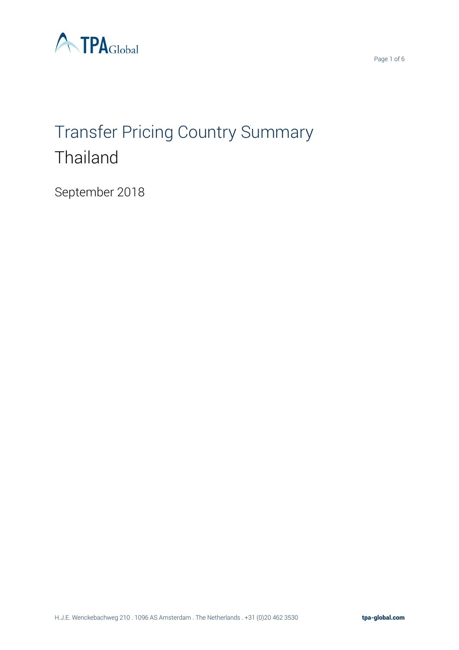

# Transfer Pricing Country Summary **Thailand**

September 2018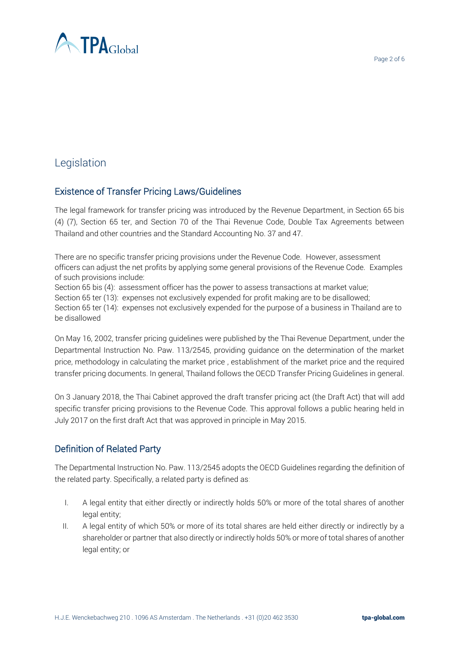

# Legislation

## Existence of Transfer Pricing Laws/Guidelines

The legal framework for transfer pricing was introduced by the Revenue Department, in Section 65 bis (4) (7), Section 65 ter, and Section 70 of the Thai Revenue Code, Double Tax Agreements between Thailand and other countries and the Standard Accounting No. 37 and 47.

There are no specific transfer pricing provisions under the Revenue Code. However, assessment officers can adjust the net profits by applying some general provisions of the Revenue Code. Examples of such provisions include:

Section 65 bis (4): assessment officer has the power to assess transactions at market value; Section 65 ter (13): expenses not exclusively expended for profit making are to be disallowed; Section 65 ter (14): expenses not exclusively expended for the purpose of a business in Thailand are to be disallowed

On May 16, 2002, transfer pricing guidelines were published by the Thai Revenue Department, under the Departmental Instruction No. Paw. 113/2545, providing guidance on the determination of the market price, methodology in calculating the market price , establishment of the market price and the required transfer pricing documents. In general, Thailand follows the OECD Transfer Pricing Guidelines in general.

On 3 January 2018, the Thai Cabinet approved the draft transfer pricing act (the Draft Act) that will add specific transfer pricing provisions to the Revenue Code. This approval follows a public hearing held in July 2017 on the first draft Act that was approved in principle in May 2015.

## Definition of Related Party

The Departmental Instruction No. Paw. 113/2545 adopts the OECD Guidelines regarding the definition of the related party. Specifically, a related party is defined as:

- I. A legal entity that either directly or indirectly holds 50% or more of the total shares of another legal entity;
- II. A legal entity of which 50% or more of its total shares are held either directly or indirectly by a shareholder or partner that also directly or indirectly holds 50% or more of total shares of another legal entity; or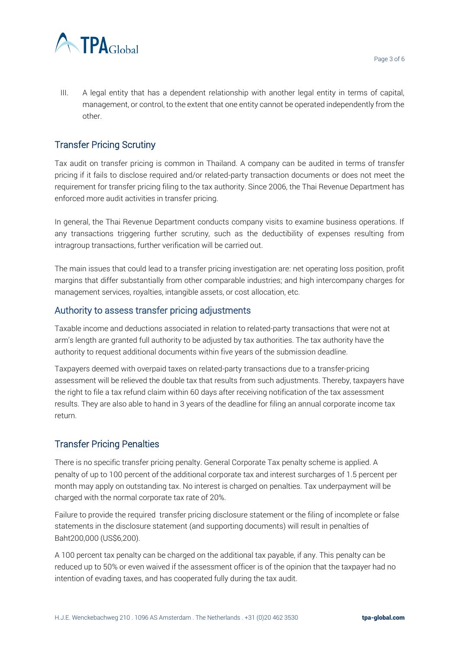

III. A legal entity that has a dependent relationship with another legal entity in terms of capital, management, or control, to the extent that one entity cannot be operated independently from the other.

# Transfer Pricing Scrutiny

Tax audit on transfer pricing is common in Thailand. A company can be audited in terms of transfer pricing if it fails to disclose required and/or related-party transaction documents or does not meet the requirement for transfer pricing filing to the tax authority. Since 2006, the Thai Revenue Department has enforced more audit activities in transfer pricing.

In general, the Thai Revenue Department conducts company visits to examine business operations. If any transactions triggering further scrutiny, such as the deductibility of expenses resulting from intragroup transactions, further verification will be carried out.

The main issues that could lead to a transfer pricing investigation are: net operating loss position, profit margins that differ substantially from other comparable industries; and high intercompany charges for management services, royalties, intangible assets, or cost allocation, etc.

#### Authority to assess transfer pricing adjustments

Taxable income and deductions associated in relation to related-party transactions that were not at arm's length are granted full authority to be adjusted by tax authorities. The tax authority have the authority to request additional documents within five years of the submission deadline.

Taxpayers deemed with overpaid taxes on related-party transactions due to a transfer-pricing assessment will be relieved the double tax that results from such adjustments. Thereby, taxpayers have the right to file a tax refund claim within 60 days after receiving notification of the tax assessment results. They are also able to hand in 3 years of the deadline for filing an annual corporate income tax return.

#### Transfer Pricing Penalties

There is no specific transfer pricing penalty. General Corporate Tax penalty scheme is applied. A penalty of up to 100 percent of the additional corporate tax and interest surcharges of 1.5 percent per month may apply on outstanding tax. No interest is charged on penalties. Tax underpayment will be charged with the normal corporate tax rate of 20%.

Failure to provide the required transfer pricing disclosure statement or the filing of incomplete or false statements in the disclosure statement (and supporting documents) will result in penalties of Baht200,000 (US\$6,200).

A 100 percent tax penalty can be charged on the additional tax payable, if any. This penalty can be reduced up to 50% or even waived if the assessment officer is of the opinion that the taxpayer had no intention of evading taxes, and has cooperated fully during the tax audit.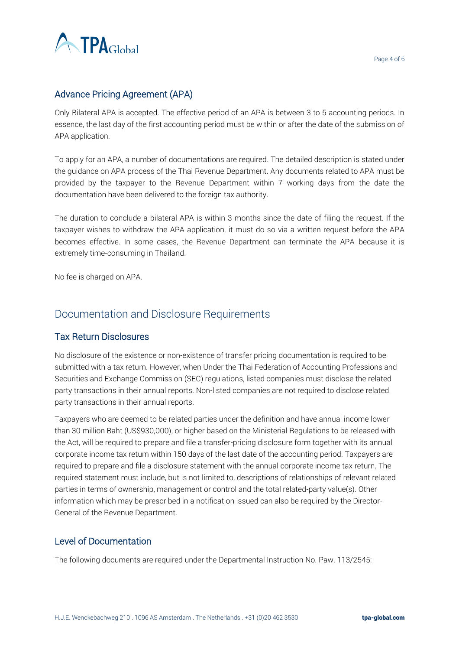

# Advance Pricing Agreement (APA)

Only Bilateral APA is accepted. The effective period of an APA is between 3 to 5 accounting periods. In essence, the last day of the first accounting period must be within or after the date of the submission of APA application.

To apply for an APA, a number of documentations are required. The detailed description is stated under the guidance on APA process of the Thai Revenue Department. Any documents related to APA must be provided by the taxpayer to the Revenue Department within 7 working days from the date the documentation have been delivered to the foreign tax authority.

The duration to conclude a bilateral APA is within 3 months since the date of filing the request. If the taxpayer wishes to withdraw the APA application, it must do so via a written request before the APA becomes effective. In some cases, the Revenue Department can terminate the APA because it is extremely time-consuming in Thailand.

No fee is charged on APA.

# Documentation and Disclosure Requirements

#### Tax Return Disclosures

No disclosure of the existence or non-existence of transfer pricing documentation is required to be submitted with a tax return. However, when Under the Thai Federation of Accounting Professions and Securities and Exchange Commission (SEC) regulations, listed companies must disclose the related party transactions in their annual reports. Non-listed companies are not required to disclose related party transactions in their annual reports.

Taxpayers who are deemed to be related parties under the definition and have annual income lower than 30 million Baht (US\$930,000), or higher based on the Ministerial Regulations to be released with the Act, will be required to prepare and file a transfer-pricing disclosure form together with its annual corporate income tax return within 150 days of the last date of the accounting period. Taxpayers are required to prepare and file a disclosure statement with the annual corporate income tax return. The required statement must include, but is not limited to, descriptions of relationships of relevant related parties in terms of ownership, management or control and the total related-party value(s). Other information which may be prescribed in a notification issued can also be required by the Director-General of the Revenue Department.

#### Level of Documentation

The following documents are required under the Departmental Instruction No. Paw. 113/2545: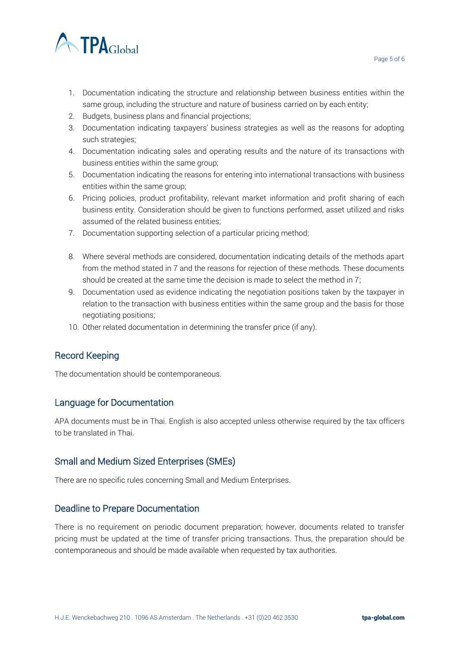

- 1. Documentation indicating the structure and relationship between business entities within the same group, including the structure and nature of business carried on by each entity;
- 2. Budgets, business plans and financial projections;
- 3. Documentation indicating taxpayers' business strategies as well as the reasons for adopting such strategies;
- 4. Documentation indicating sales and operating results and the nature of its transactions with business entities within the same group;
- 5. Documentation indicating the reasons for entering into international transactions with business entities within the same group;
- 6. Pricing policies, product profitability, relevant market information and profit sharing of each business entity. Consideration should be given to functions performed, asset utilized and risks assumed of the related business entities;
- 7. Documentation supporting selection of a particular pricing method;
- 8. Where several methods are considered, documentation indicating details of the methods apart from the method stated in 7 and the reasons for rejection of these methods. These documents should be created at the same time the decision is made to select the method in 7;
- 9. Documentation used as evidence indicating the negotiation positions taken by the taxpayer in relation to the transaction with business entities within the same group and the basis for those negotiating positions;
- 10. Other related documentation in determining the transfer price (if any).

## Record Keeping

The documentation should be contemporaneous.

## Language for Documentation

APA documents must be in Thai. English is also accepted unless otherwise required by the tax officers to be translated in Thai.

#### Small and Medium Sized Enterprises (SMEs)

There are no specific rules concerning Small and Medium Enterprises.

#### Deadline to Prepare Documentation

There is no requirement on periodic document preparation; however, documents related to transfer pricing must be updated at the time of transfer pricing transactions. Thus, the preparation should be contemporaneous and should be made available when requested by tax authorities.